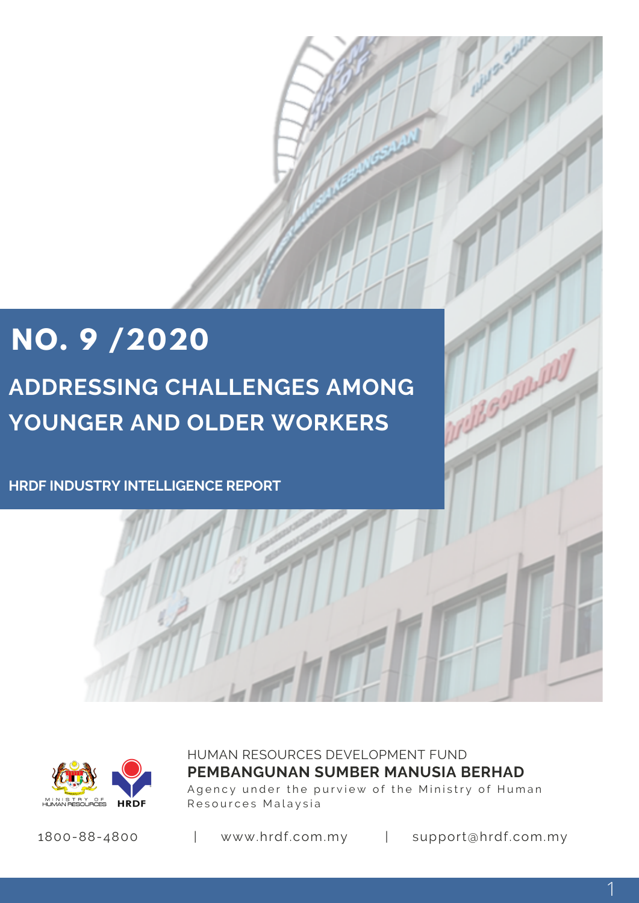# **NO. 9 /2020 ADDRESSING CHALLENGES AMONG YOUNGER AND OLDER WORKERS**

**HRDF INDUSTRY INTELLIGENCE REPORT**



HUMAN RESOURCES DEVELOPMENT FUND Agency under the purview of the Ministry of Human Resources Malaysia **PEMBANGUNAN SUMBER MANUSIA BERHAD**

1800-88-4800 | www.hrdf.com.my | support@hrdf.com.my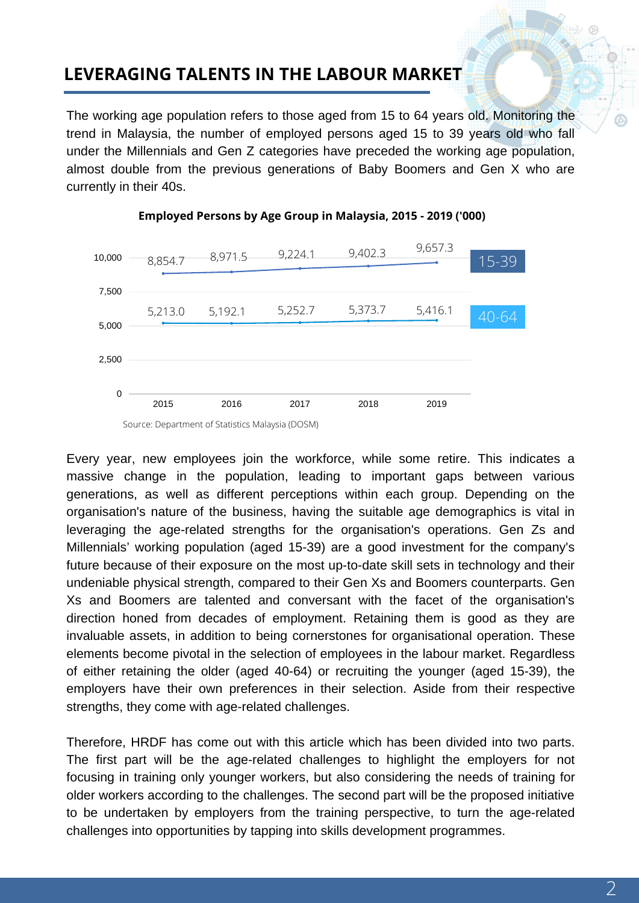# **LEVERAGING TALENTS IN THE LABOUR MARKET**

The working age population refers to those aged from 15 to 64 years old. Monitoring the trend in Malaysia, the number of employed persons aged 15 to 39 years old who fall under the Millennials and Gen Z categories have preceded the working age population, almost double from the previous generations of Baby Boomers and Gen X who are currently in their 40s.



#### **Employed Persons by Age Group in Malaysia, 2015 - 2019 ('000)**

Every year, new employees join the workforce, while some retire. This indicates a massive change in the population, leading to important gaps between various generations, as well as different perceptions within each group. Depending on the organisation's nature of the business, having the suitable age demographics is vital in leveraging the age-related strengths for the organisation's operations. Gen Zs and Millennials' working population (aged 15-39) are a good investment for the company's future because of their exposure on the most up-to-date skill sets in technology and their undeniable physical strength, compared to their Gen Xs and Boomers counterparts. Gen Xs and Boomers are talented and conversant with the facet of the organisation's direction honed from decades of employment. Retaining them is good as they are invaluable assets, in addition to being cornerstones for organisational operation. These elements become pivotal in the selection of employees in the labour market. Regardless of either retaining the older (aged 40-64) or recruiting the younger (aged 15-39), the employers have their own preferences in their selection. Aside from their respective strengths, they come with age-related challenges.

Therefore, HRDF has come out with this article which has been divided into two parts. The first part will be the age-related challenges to highlight the employers for not focusing in training only younger workers, but also considering the needs of training for older workers according to the challenges. The second part will be the proposed initiative to be undertaken by employers from the training perspective, to turn the age-related challenges into opportunities by tapping into skills development programmes.

Source: Department of Statistics Malaysia (DOSM)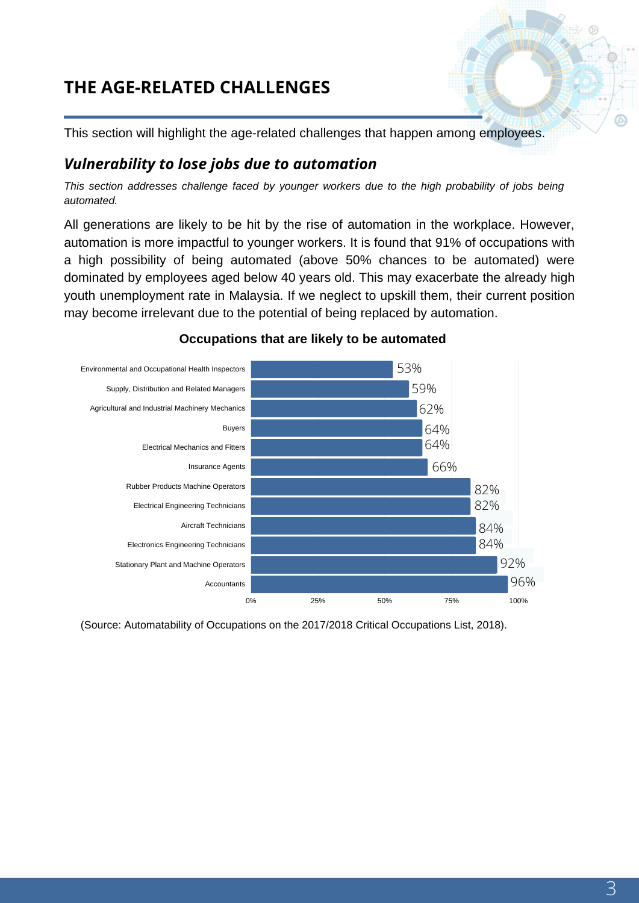# **THE AGE-RELATED CHALLENGES**

This section will highlight the age-related challenges that happen among employees.

### *Vulnerability to lose jobs due to automation*

*This section addresses challenge faced by younger workers due to the high probability of jobs being automated.*

All generations are likely to be hit by the rise of automation in the workplace. However, automation is more impactful to younger workers. It is found that 91% of occupations with a high possibility of being automated (above 50% chances to be automated) were dominated by employees aged below 40 years old. This may exacerbate the already high youth unemployment rate in Malaysia. If we neglect to upskill them, their current position may become irrelevant due to the potential of being replaced by automation.



### **Occupations that are likely to be automated**

(Source: Automatability of Occupations on the 2017/2018 Critical Occupations List, 2018).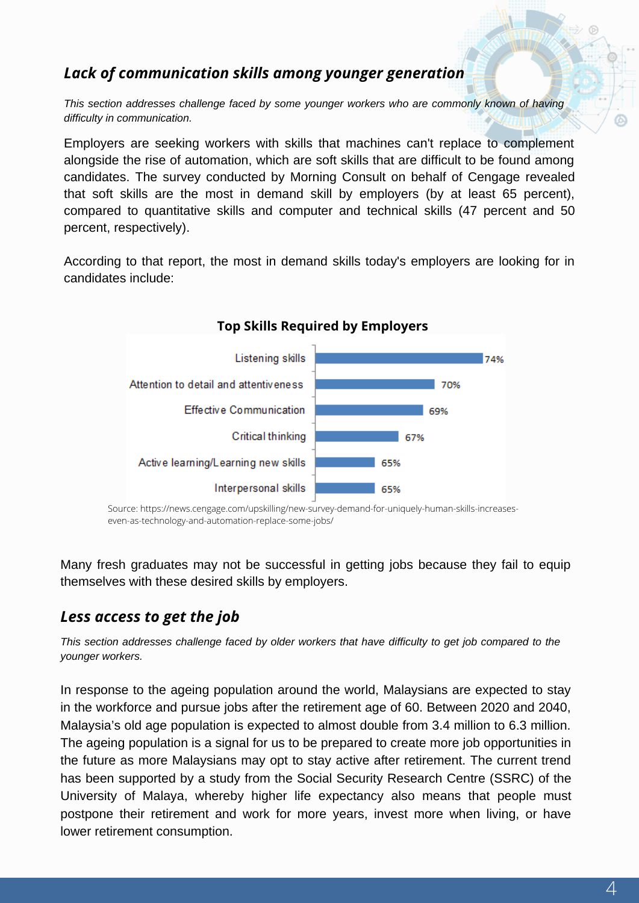## *Lack of communication skills among younger generation*

*This section addresses challenge faced by some younger workers who are commonly known of having difficulty in communication.*

Employers are seeking workers with skills that machines can't replace to complement alongside the rise of automation, which are soft skills that are difficult to be found among candidates. The survey conducted by Morning Consult on behalf of Cengage revealed that soft skills are the most in demand skill by employers (by at least 65 percent), compared to quantitative skills and computer and technical skills (47 percent and 50 percent, respectively).

According to that report, the most in demand skills today's employers are looking for in candidates include:



Source: https://news.cengage.com/upskilling/new-survey-demand-for-uniquely-human-skills-increaseseven-as-technology-and-automation-replace-some-jobs/

Many fresh graduates may not be successful in getting jobs because they fail to equip themselves with these desired skills by employers.

### *Less access to get the job*

*This section addresses challenge faced by older workers that have difficulty to get job compared to the younger workers.*

In response to the ageing population around the world, Malaysians are expected to stay in the workforce and pursue jobs after the retirement age of 60. Between 2020 and 2040, Malaysia's old age population is expected to almost double from 3.4 million to 6.3 million. The ageing population is a signal for us to be prepared to create more job opportunities in the future as more Malaysians may opt to stay active after retirement. The current trend has been supported by a study from the Social Security Research Centre (SSRC) of the University of Malaya, whereby higher life expectancy also means that people must postpone their retirement and work for more years, invest more when living, or have lower retirement consumption.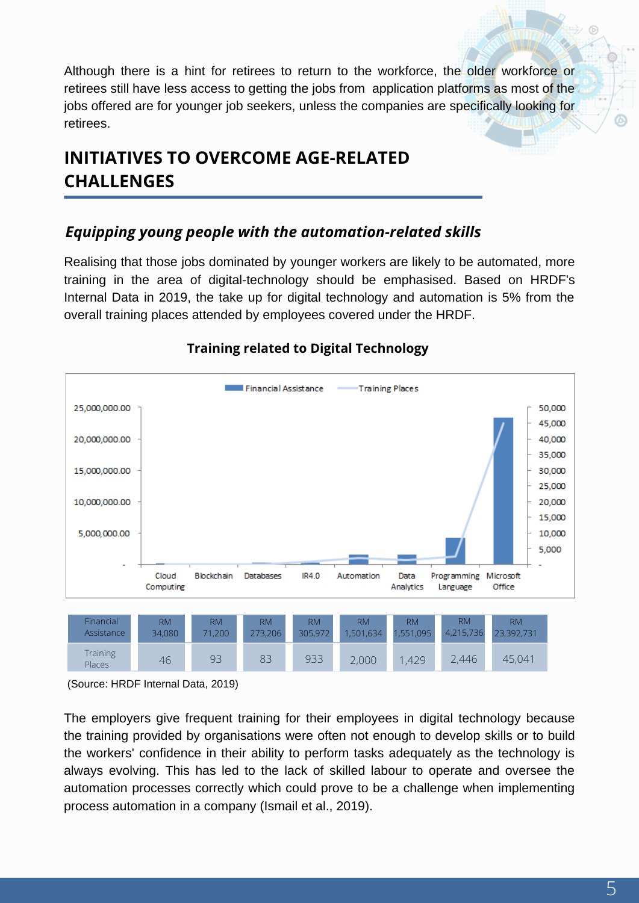Although there is a hint for retirees to return to the workforce, the older workforce or retirees still have less access to getting the jobs from application platforms as most of the jobs offered are for younger job seekers, unless the companies are specifically looking for retirees.

# **INITIATIVES TO OVERCOME AGE-RELATED CHALLENGES**

## *Equipping young people with the automation-related skills*

Realising that those jobs dominated by younger workers are likely to be automated, more training in the area of digital-technology should be emphasised. Based on HRDF's Internal Data in 2019, the take up for digital technology and automation is 5% from the overall training places attended by employees covered under the HRDF.



### **Training related to Digital Technology**

(Source: HRDF Internal Data, 2019)

The employers give frequent training for their employees in digital technology because the training provided by organisations were often not enough to develop skills or to build the workers' confidence in their ability to perform tasks adequately as the technology is always evolving. This has led to the lack of skilled labour to operate and oversee the automation processes correctly which could prove to be a challenge when implementing process automation in a company (Ismail et al., 2019).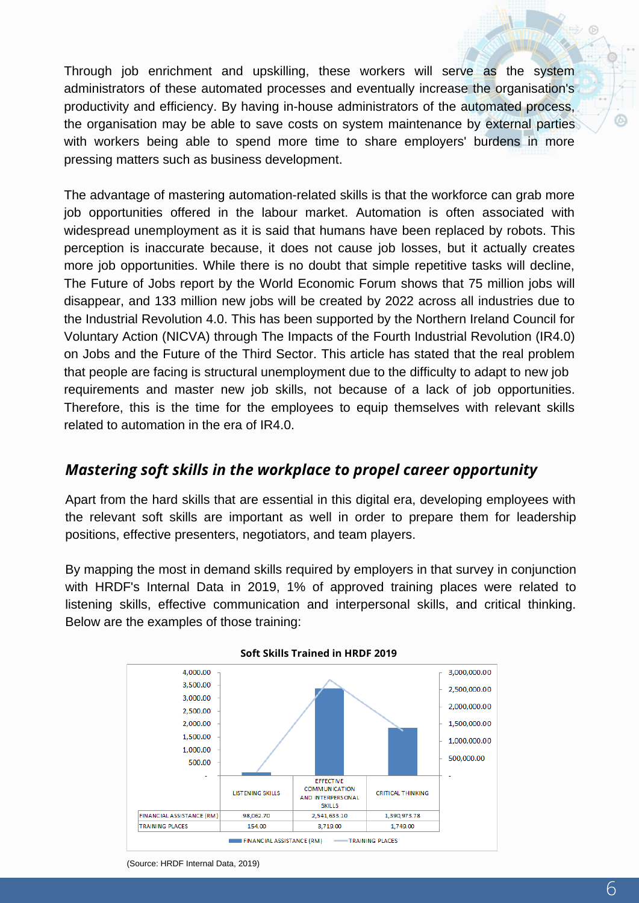Through job enrichment and upskilling, these workers will serve as the system administrators of these automated processes and eventually increase the organisation's productivity and efficiency. By having in-house administrators of the automated process, the organisation may be able to save costs on system maintenance by external parties with workers being able to spend more time to share employers' burdens in more pressing matters such as business development.

The advantage of mastering automation-related skills is that the workforce can grab more job opportunities offered in the labour market. Automation is often associated with widespread unemployment as it is said that humans have been replaced by robots. This perception is inaccurate because, it does not cause job losses, but it actually creates more job opportunities. While there is no doubt that simple repetitive tasks will decline, The Future of Jobs report by the World Economic Forum shows that 75 million jobs will disappear, and 133 million new jobs will be created by 2022 across all industries due to the Industrial Revolution 4.0. This has been supported by the Northern Ireland Council for Voluntary Action (NICVA) through The Impacts of the Fourth Industrial Revolution (IR4.0) on Jobs and the Future of the Third Sector. This article has stated that the real problem that people are facing is structural unemployment due to the difficulty to adapt to new job requirements and master new job skills, not because of a lack of job opportunities. Therefore, this is the time for the employees to equip themselves with relevant skills related to automation in the era of IR4.0.

### *Mastering soft skills in the workplace to propel career opportunity*

Apart from the hard skills that are essential in this digital era, developing employees with the relevant soft skills are important as well in order to prepare them for leadership positions, effective presenters, negotiators, and team players.

By mapping the most in demand skills required by employers in that survey in conjunction with HRDF's Internal Data in 2019, 1% of approved training places were related to listening skills, effective communication and interpersonal skills, and critical thinking. Below are the examples of those training:



#### **Soft Skills Trained in HRDF 2019**

ශ

<sup>(</sup>Source: HRDF Internal Data, 2019)